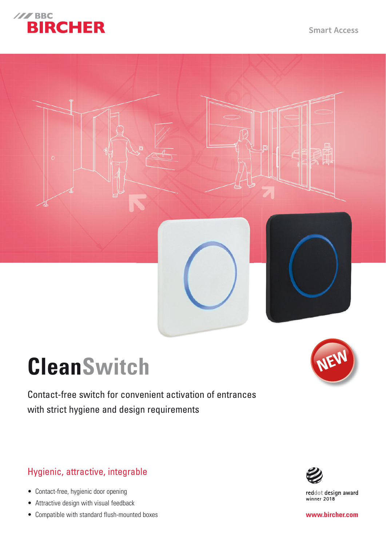

**Smart Access** 



# **CleanSwitch**

Contact-free switch for convenient activation of entrances with strict hygiene and design requirements

# Hygienic, attractive, integrable

- Contact-free, hygienic door opening
- Attractive design with visual feedback
- Compatible with standard flush-mounted boxes





reddot design award<br>winner 2018

**www.bircher.com**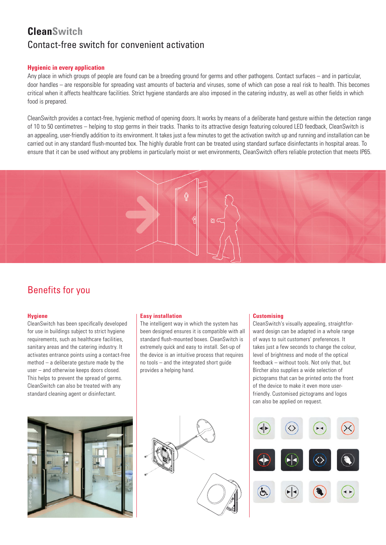# **CleanSwitch** Contact-free switch for convenient activation

## **Hygienic in every application**

Any place in which groups of people are found can be a breeding ground for germs and other pathogens. Contact surfaces – and in particular, door handles – are responsible for spreading vast amounts of bacteria and viruses, some of which can pose a real risk to health. This becomes critical when it affects healthcare facilities. Strict hygiene standards are also imposed in the catering industry, as well as other fields in which food is prepared.

CleanSwitch provides a contact-free, hygienic method of opening doors. It works by means of a deliberate hand gesture within the detection range of 10 to 50 centimetres – helping to stop germs in their tracks. Thanks to its attractive design featuring coloured LED feedback, CleanSwitch is an appealing, user-friendly addition to its environment. It takes just a few minutes to get the activation switch up and running and installation can be carried out in any standard flush-mounted box. The highly durable front can be treated using standard surface disinfectants in hospital areas. To ensure that it can be used without any problems in particularly moist or wet environments, CleanSwitch offers reliable protection that meets IP65.



# Benefits for you

## **Hygiene**

CleanSwitch has been specifically developed for use in buildings subject to strict hygiene requirements, such as healthcare facilities, sanitary areas and the catering industry. It activates entrance points using a contact-free method – a deliberate gesture made by the user – and otherwise keeps doors closed. This helps to prevent the spread of germs. CleanSwitch can also be treated with any standard cleaning agent or disinfectant.

## **Easy installation**

The intelligent way in which the system has been designed ensures it is compatible with all standard flush-mounted boxes. CleanSwitch is extremely quick and easy to install. Set-up of the device is an intuitive process that requires no tools – and the integrated short guide provides a helping hand.





#### **Customising**

CleanSwitch's visually appealing, straightforward design can be adapted in a whole range of ways to suit customers' preferences. It takes just a few seconds to change the colour, level of brightness and mode of the optical feedback – without tools. Not only that, but Bircher also supplies a wide selection of pictograms that can be printed onto the front of the device to make it even more userfriendly. Customised pictograms and logos can also be applied on request.

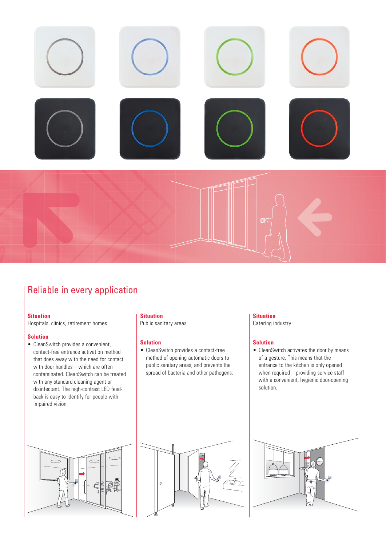

# Reliable in every application

#### **Situation**

Hospitals, clinics, retirement homes

## **Solution**

• CleanSwitch provides a convenient, contact-free entrance activation method that does away with the need for contact with door handles – which are often contaminated. CleanSwitch can be treated with any standard cleaning agent or disinfectant. The high-contrast LED feedback is easy to identify for people with impaired vision.

#### **Situation**

Public sanitary areas

#### **Solution**

• CleanSwitch provides a contact-free method of opening automatic doors to public sanitary areas, and prevents the spread of bacteria and other pathogens.

#### **Situation**

Catering industry

#### **Solution**

• CleanSwitch activates the door by means of a gesture. This means that the entrance to the kitchen is only opened when required – providing service staff with a convenient, hygienic door-opening solution.